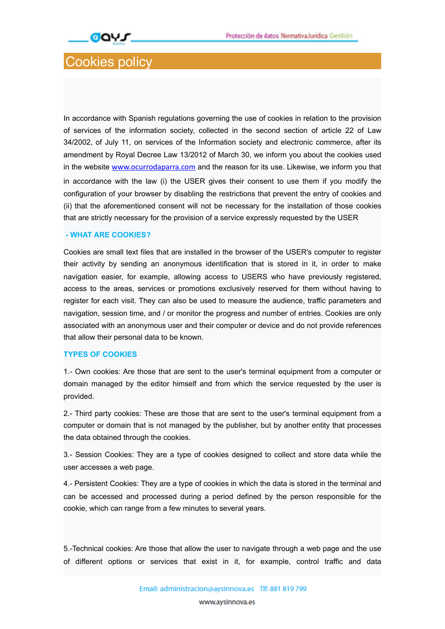

# Cookies policy

In accordance with Spanish regulations governing the use of cookies in relation to the provision of services of the information society, collected in the second section of article 22 of Law 34/2002, of July 11, on services of the Information society and electronic commerce, after its amendment by Royal Decree Law 13/2012 of March 30, we inform you about the cookies used in the website www.ocurrodaparra.com and the reason for its use. Likewise, we inform you that in accordance with the law (i) the USER gives their consent to use them if you modify the configuration of your browser by disabling the restrictions that prevent the entry of cookies and (ii) that the aforementioned consent will not be necessary for the installation of those cookies that are strictly necessary for the provision of a service expressly requested by the USER

### **- WHAT ARE COOKIES?**

Cookies are small text files that are installed in the browser of the USER's computer to register their activity by sending an anonymous identification that is stored in it, in order to make navigation easier, for example, allowing access to USERS who have previously registered, access to the areas, services or promotions exclusively reserved for them without having to register for each visit. They can also be used to measure the audience, traffic parameters and navigation, session time, and / or monitor the progress and number of entries. Cookies are only associated with an anonymous user and their computer or device and do not provide references that allow their personal data to be known.

#### **TYPES OF COOKIES**

1.- Own cookies: Are those that are sent to the user's terminal equipment from a computer or domain managed by the editor himself and from which the service requested by the user is provided.

2.- Third party cookies: These are those that are sent to the user's terminal equipment from a computer or domain that is not managed by the publisher, but by another entity that processes the data obtained through the cookies.

3.- Session Cookies: They are a type of cookies designed to collect and store data while the user accesses a web page.

4.- Persistent Cookies: They are a type of cookies in which the data is stored in the terminal and can be accessed and processed during a period defined by the person responsible for the cookie, which can range from a few minutes to several years.

5.-Technical cookies: Are those that allow the user to navigate through a web page and the use of different options or services that exist in it, for example, control traffic and data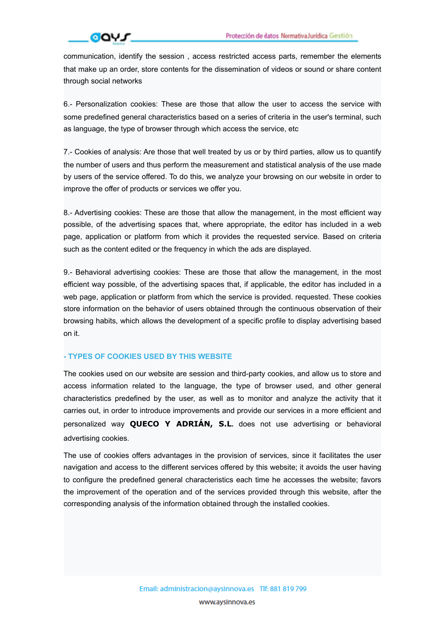# **GOVS**

communication, identify the session , access restricted access parts, remember the elements that make up an order, store contents for the dissemination of videos or sound or share content through social networks

6.- Personalization cookies: These are those that allow the user to access the service with some predefined general characteristics based on a series of criteria in the user's terminal, such as language, the type of browser through which access the service, etc

7.- Cookies of analysis: Are those that well treated by us or by third parties, allow us to quantify the number of users and thus perform the measurement and statistical analysis of the use made by users of the service offered. To do this, we analyze your browsing on our website in order to improve the offer of products or services we offer you.

8.- Advertising cookies: These are those that allow the management, in the most efficient way possible, of the advertising spaces that, where appropriate, the editor has included in a web page, application or platform from which it provides the requested service. Based on criteria such as the content edited or the frequency in which the ads are displayed.

9.- Behavioral advertising cookies: These are those that allow the management, in the most efficient way possible, of the advertising spaces that, if applicable, the editor has included in a web page, application or platform from which the service is provided. requested. These cookies store information on the behavior of users obtained through the continuous observation of their browsing habits, which allows the development of a specific profile to display advertising based on it.

## **- TYPES OF COOKIES USED BY THIS WEBSITE**

The cookies used on our website are session and third-party cookies, and allow us to store and access information related to the language, the type of browser used, and other general characteristics predefined by the user, as well as to monitor and analyze the activity that it carries out, in order to introduce improvements and provide our services in a more efficient and personalized way **QUECO Y ADRIÁN, S.L.** does not use advertising or behavioral advertising cookies.

The use of cookies offers advantages in the provision of services, since it facilitates the user navigation and access to the different services offered by this website; it avoids the user having to configure the predefined general characteristics each time he accesses the website; favors the improvement of the operation and of the services provided through this website, after the corresponding analysis of the information obtained through the installed cookies.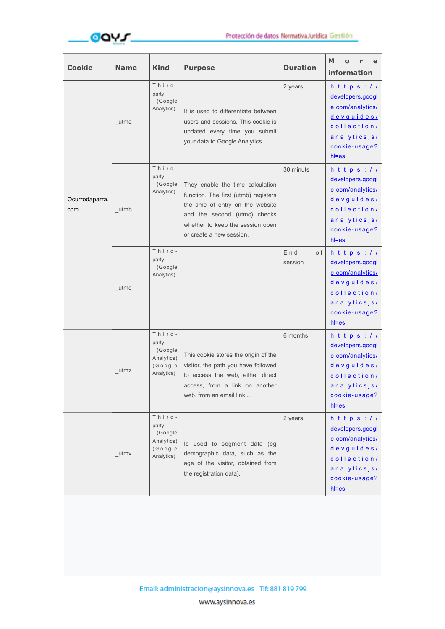

| <b>Cookie</b>         | <b>Name</b> | <b>Kind</b>                                                       | <b>Purpose</b>                                                                                                                                                                                               | <b>Duration</b>       | М<br>e<br>information                                                                                                                            |
|-----------------------|-------------|-------------------------------------------------------------------|--------------------------------------------------------------------------------------------------------------------------------------------------------------------------------------------------------------|-----------------------|--------------------------------------------------------------------------------------------------------------------------------------------------|
| Ocurrodaparra.<br>com | utma        | Third-<br>party<br>(Google<br>Analytics)                          | It is used to differentiate between<br>users and sessions. This cookie is<br>updated every time you submit<br>your data to Google Analytics                                                                  | 2 years               | $h$ t t p s : $/$ $/$<br>developers.googl<br>e.com/analytics/<br>devguides/<br>collection/<br>analyticsjs/<br>cookie-usage?<br><u>hl=es</u>      |
|                       | utmb        | Third-<br>party<br>(Google<br>Analytics)                          | They enable the time calculation<br>function. The first (utmb) registers<br>the time of entry on the website<br>and the second (utmc) checks<br>whether to keep the session open<br>or create a new session. | 30 minuts             | $h$ t t p s : $\angle$ $\angle$<br>developers.googl<br>e.com/analytics/<br>devguides/<br>collection/<br>analyticsjs/<br>cookie-usage?<br>$h$ =es |
|                       | utmc        | Third-<br>party<br>(Google<br>Analytics)                          |                                                                                                                                                                                                              | End<br>o f<br>session | $h$ ttps://<br>developers.googl<br>e.com/analytics/<br>devguides/<br>collection<br>analyticsjs/<br>cookie-usage?<br>$h$ =es                      |
|                       | utmz        | Third-<br>party<br>(Google<br>Analytics)<br>(Google<br>Analytics) | This cookie stores the origin of the<br>visitor, the path you have followed<br>to access the web, either direct<br>access, from a link on another<br>web, from an email link                                 | 6 months              | $h$ t t p s : $/$ $/$<br>developers.googl<br>e.com/analytics/<br>devguides/<br>collection/<br>analyticsis/<br>cookie-usage?<br>$h$ = $es$        |
|                       | utmv        | Third-<br>party<br>(Google<br>Analytics)<br>(Google<br>Analytics) | Is used to segment data (eg<br>demographic data, such as the<br>age of the visitor, obtained from<br>the registration data).                                                                                 | 2 years               | $h$ t t p s : //<br>developers.googl<br>e.com/analytics/<br>devguides/<br>collection/<br><u>analyticsjs/</u><br>cookie-usage?<br>$h$ = $es$      |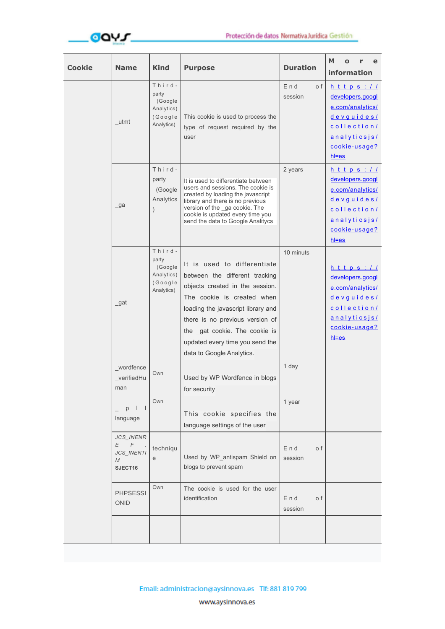

| <b>Cookie</b> | <b>Name</b>                                         | <b>Kind</b>                                                       | <b>Purpose</b>                                                                                                                                                                                                                                                                                           | <b>Duration</b>          | М<br>information                                                                                                                           |
|---------------|-----------------------------------------------------|-------------------------------------------------------------------|----------------------------------------------------------------------------------------------------------------------------------------------------------------------------------------------------------------------------------------------------------------------------------------------------------|--------------------------|--------------------------------------------------------------------------------------------------------------------------------------------|
|               | $_{\text{u}tmt}$                                    | Third-<br>party<br>(Google<br>Analytics)<br>(Google<br>Analytics) | This cookie is used to process the<br>type of request required by the<br>user                                                                                                                                                                                                                            | End<br>o f<br>session    | $h$ t t p s : //<br>developers.googl<br>e.com/analytics/<br>devguides/<br>collection/<br>analyticsjs/<br>cookie-usage?<br>$h$ = $es$       |
|               | $\sqrt{a}$                                          | Third-<br>party<br>(Google<br>Analytics                           | It is used to differentiate between<br>users and sessions. The cookie is<br>created by loading the javascript<br>library and there is no previous<br>version of the ga cookie. The<br>cookie is updated every time you<br>send the data to Google Analitycs                                              | 2 years                  | $h$ t t p s : $\angle$<br>developers.googl<br>e.com/analytics/<br>devguides/<br>collection/<br>analyticsjs/<br>cookie-usage?<br>$h$ = $es$ |
|               | $\_\mathsf{gat}$                                    | Third-<br>party<br>(Google<br>Analytics)<br>(Google<br>Analytics) | It is used to differentiate<br>between the different tracking<br>objects created in the session.<br>The cookie is created when<br>loading the javascript library and<br>there is no previous version of<br>the gat cookie. The cookie is<br>updated every time you send the<br>data to Google Analytics. | 10 minuts                | $h$ t t p s : $I$<br>developers.googl<br>e.com/analytics/<br>devguides/<br>collection/<br>analyticsjs/<br>cookie-usage?<br>$h$ =es         |
|               | wordfence<br>_verifiedHu<br>man                     | Own                                                               | Used by WP Wordfence in blogs<br>for security                                                                                                                                                                                                                                                            | 1 day                    |                                                                                                                                            |
|               | $\perp$<br>p<br>language                            | Own                                                               | This cookie specifies the<br>language settings of the user                                                                                                                                                                                                                                               | 1 year                   |                                                                                                                                            |
|               | JCS_INENR<br>$E \t F$<br>JCS_INENTI<br>M<br>SJECT16 | techniqu<br>e                                                     | Used by WP_antispam Shield on<br>blogs to prevent spam                                                                                                                                                                                                                                                   | $En$ d<br>o f<br>session |                                                                                                                                            |
|               | <b>PHPSESSI</b><br><b>ONID</b>                      | Own                                                               | The cookie is used for the user<br>identification                                                                                                                                                                                                                                                        | End<br>o f<br>session    |                                                                                                                                            |
|               |                                                     |                                                                   |                                                                                                                                                                                                                                                                                                          |                          |                                                                                                                                            |

www.aysinnova.es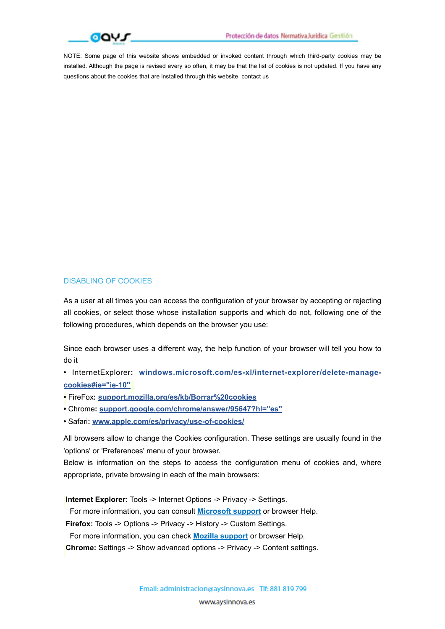

NOTE: Some page of this website shows embedded or invoked content through which third-party cookies may be installed. Although the page is revised every so often, it may be that the list of cookies is not updated. If you have any questions about the cookies that are installed through this website, contact us

## DISABLING OF COOKIES

As a user at all times you can access the configuration of your browser by accepting or rejecting all cookies, or select those whose installation supports and which do not, following one of the following procedures, which depends on the browser you use:

Since each browser uses a different way, the help function of your browser will tell you how to do it

**•** InternetExplorer**: [windows.microsoft.com/es-xl/internet-explorer/delete-manage](http://windows.microsoft.com/es-xl/internet-explorer/delete-manage-cookies#ie=)[cookies#ie="ie-10"](http://windows.microsoft.com/es-xl/internet-explorer/delete-manage-cookies#ie=)** 

- **•** FireFox**: [support.mozilla.org/es/kb/Borrar%20cookies](http://support.mozilla.org/es/kb/Borrar%2520cookies)**
- Chrome**: [support.google.com/chrome/answer/95647?hl="es"](http://support.google.com/chrome/answer/95647?hl=)**
- Safari**: [www.apple.com/es/privacy/use-of-cookies/](http://www.apple.com/es/privacy/use-of-cookies/)**

All browsers allow to change the Cookies configuration. These settings are usually found in the 'options' or 'Preferences' menu of your browser.

Below is information on the steps to access the configuration menu of cookies and, where appropriate, private browsing in each of the main browsers:

**Internet Explorer:** Tools -> Internet Options -> Privacy -> Settings.

For more information, you can consult **Microsoft support** or browser Help.

**Firefox:** Tools -> Options -> Privacy -> History -> Custom Settings.

For more information, you can check **Mozilla support** or browser Help.

**Chrome:** Settings -> Show advanced options -> Privacy -> Content settings.

www.aysinnova.es